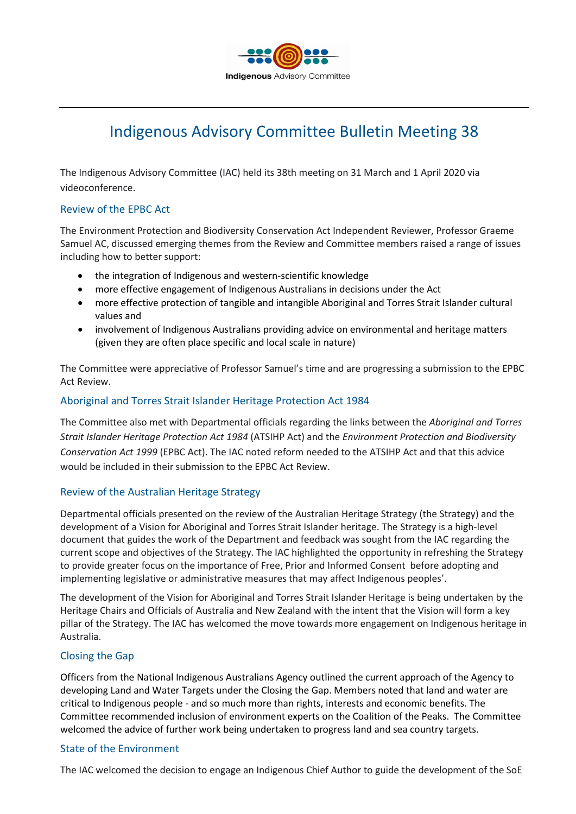

# Indigenous Advisory Committee Bulletin Meeting 38

The Indigenous Advisory Committee (IAC) held its 38th meeting on 31 March and 1 April 2020 via videoconference.

#### Review of the EPBC Act

The Environment Protection and Biodiversity Conservation Act Independent Reviewer, Professor Graeme Samuel AC, discussed emerging themes from the Review and Committee members raised a range of issues including how to better support:

- the integration of Indigenous and western-scientific knowledge
- more effective engagement of Indigenous Australians in decisions under the Act
- more effective protection of tangible and intangible Aboriginal and Torres Strait Islander cultural values and
- involvement of Indigenous Australians providing advice on environmental and heritage matters (given they are often place specific and local scale in nature)

The Committee were appreciative of Professor Samuel's time and are progressing a submission to the EPBC Act Review.

# Aboriginal and Torres Strait Islander Heritage Protection Act 1984

The Committee also met with Departmental officials regarding the links between the *Aboriginal and Torres Strait Islander Heritage Protection Act 1984* (ATSIHP Act) and the *Environment Protection and Biodiversity Conservation Act 1999* (EPBC Act). The IAC noted reform needed to the ATSIHP Act and that this advice would be included in their submission to the EPBC Act Review.

# Review of the Australian Heritage Strategy

Departmental officials presented on the review of the Australian Heritage Strategy (the Strategy) and the development of a Vision for Aboriginal and Torres Strait Islander heritage. The Strategy is a high-level document that guides the work of the Department and feedback was sought from the IAC regarding the current scope and objectives of the Strategy. The IAC highlighted the opportunity in refreshing the Strategy to provide greater focus on the importance of Free, Prior and Informed Consent before adopting and implementing legislative or administrative measures that may affect Indigenous peoples'.

The development of the Vision for Aboriginal and Torres Strait Islander Heritage is being undertaken by the Heritage Chairs and Officials of Australia and New Zealand with the intent that the Vision will form a key pillar of the Strategy. The IAC has welcomed the move towards more engagement on Indigenous heritage in Australia.

# Closing the Gap

Officers from the National Indigenous Australians Agency outlined the current approach of the Agency to developing Land and Water Targets under the Closing the Gap. Members noted that land and water are critical to Indigenous people - and so much more than rights, interests and economic benefits. The Committee recommended inclusion of environment experts on the Coalition of the Peaks. The Committee welcomed the advice of further work being undertaken to progress land and sea country targets.

#### State of the Environment

The IAC welcomed the decision to engage an Indigenous Chief Author to guide the development of the SoE